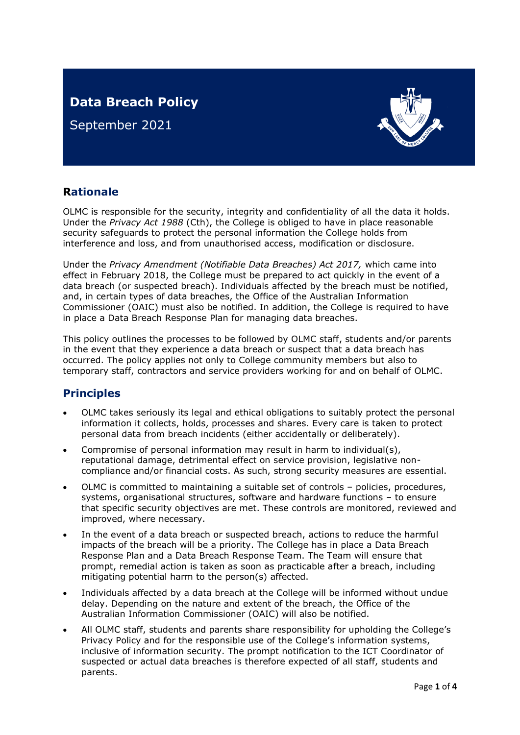# **Data Breach Policy**

September 2021



# **Rationale**

OLMC is responsible for the security, integrity and confidentiality of all the data it holds. Under the *Privacy Act 1988* (Cth), the College is obliged to have in place reasonable security safeguards to protect the personal information the College holds from interference and loss, and from unauthorised access, modification or disclosure.

Under the *Privacy Amendment (Notifiable Data Breaches) Act 2017,* which came into effect in February 2018, the College must be prepared to act quickly in the event of a data breach (or suspected breach). Individuals affected by the breach must be notified, and, in certain types of data breaches, the Office of the Australian Information Commissioner (OAIC) must also be notified. In addition, the College is required to have in place a Data Breach Response Plan for managing data breaches.

This policy outlines the processes to be followed by OLMC staff, students and/or parents in the event that they experience a data breach or suspect that a data breach has occurred. The policy applies not only to College community members but also to temporary staff, contractors and service providers working for and on behalf of OLMC.

## **Principles**

- OLMC takes seriously its legal and ethical obligations to suitably protect the personal information it collects, holds, processes and shares. Every care is taken to protect personal data from breach incidents (either accidentally or deliberately).
- Compromise of personal information may result in harm to individual(s), reputational damage, detrimental effect on service provision, legislative noncompliance and/or financial costs. As such, strong security measures are essential.
- OLMC is committed to maintaining a suitable set of controls policies, procedures, systems, organisational structures, software and hardware functions – to ensure that specific security objectives are met. These controls are monitored, reviewed and improved, where necessary.
- In the event of a data breach or suspected breach, actions to reduce the harmful impacts of the breach will be a priority. The College has in place a Data Breach Response Plan and a Data Breach Response Team. The Team will ensure that prompt, remedial action is taken as soon as practicable after a breach, including mitigating potential harm to the person(s) affected.
- Individuals affected by a data breach at the College will be informed without undue delay. Depending on the nature and extent of the breach, the Office of the Australian Information Commissioner (OAIC) will also be notified.
- All OLMC staff, students and parents share responsibility for upholding the College's Privacy Policy and for the responsible use of the College's information systems, inclusive of information security. The prompt notification to the ICT Coordinator of suspected or actual data breaches is therefore expected of all staff, students and parents.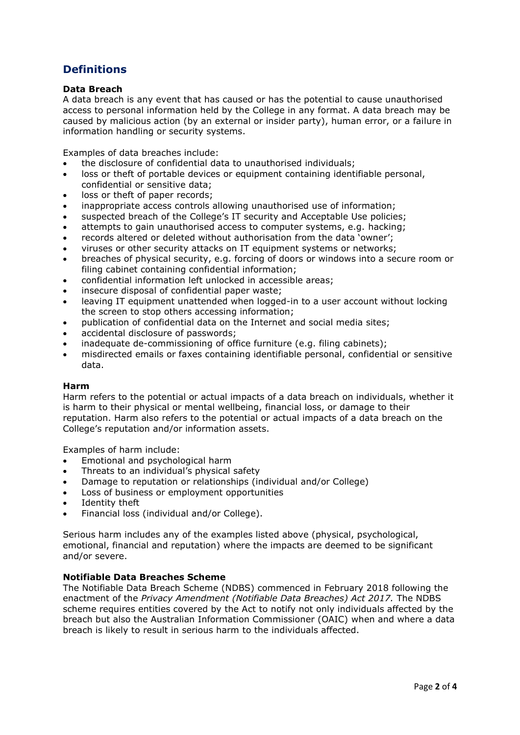# **Definitions**

#### **Data Breach**

A data breach is any event that has caused or has the potential to cause unauthorised access to personal information held by the College in any format. A data breach may be caused by malicious action (by an external or insider party), human error, or a failure in information handling or security systems.

Examples of data breaches include:

- the disclosure of confidential data to unauthorised individuals;
- loss or theft of portable devices or equipment containing identifiable personal, confidential or sensitive data;
- loss or theft of paper records;
- inappropriate access controls allowing unauthorised use of information;
- suspected breach of the College's IT security and Acceptable Use policies;
- attempts to gain unauthorised access to computer systems, e.g. hacking;
- records altered or deleted without authorisation from the data 'owner';
- viruses or other security attacks on IT equipment systems or networks;
- breaches of physical security, e.g. forcing of doors or windows into a secure room or filing cabinet containing confidential information;
- confidential information left unlocked in accessible areas;
- insecure disposal of confidential paper waste;
- leaving IT equipment unattended when logged-in to a user account without locking the screen to stop others accessing information;
- publication of confidential data on the Internet and social media sites;
- accidental disclosure of passwords;
- inadequate de-commissioning of office furniture (e.g. filing cabinets);
- misdirected emails or faxes containing identifiable personal, confidential or sensitive data.

#### **Harm**

Harm refers to the potential or actual impacts of a data breach on individuals, whether it is harm to their physical or mental wellbeing, financial loss, or damage to their reputation. Harm also refers to the potential or actual impacts of a data breach on the College's reputation and/or information assets.

Examples of harm include:

- Emotional and psychological harm
- Threats to an individual's physical safety
- Damage to reputation or relationships (individual and/or College)
- Loss of business or employment opportunities
- Identity theft
- Financial loss (individual and/or College).

Serious harm includes any of the examples listed above (physical, psychological, emotional, financial and reputation) where the impacts are deemed to be significant and/or severe.

#### **Notifiable Data Breaches Scheme**

The Notifiable Data Breach Scheme (NDBS) commenced in February 2018 following the enactment of the *Privacy Amendment (Notifiable Data Breaches) Act 2017.* The NDBS scheme requires entities covered by the Act to notify not only individuals affected by the breach but also the Australian Information Commissioner (OAIC) when and where a data breach is likely to result in serious harm to the individuals affected.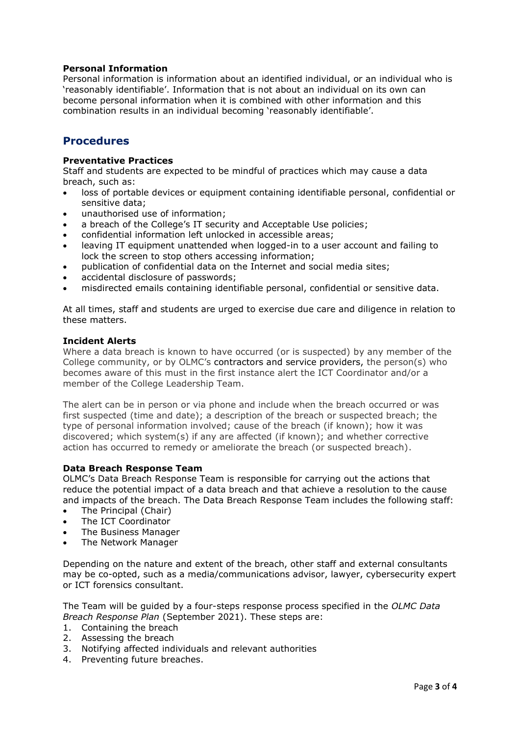#### **Personal Information**

Personal information is information about an identified individual, or an individual who is 'reasonably identifiable'. Information that is not about an individual on its own can become personal information when it is combined with other information and this combination results in an individual becoming 'reasonably identifiable'.

### **Procedures**

#### **Preventative Practices**

Staff and students are expected to be mindful of practices which may cause a data breach, such as:

- loss of portable devices or equipment containing identifiable personal, confidential or sensitive data;
- unauthorised use of information;
- a breach of the College's IT security and Acceptable Use policies;
- confidential information left unlocked in accessible areas;
- leaving IT equipment unattended when logged-in to a user account and failing to lock the screen to stop others accessing information;
- publication of confidential data on the Internet and social media sites;
- accidental disclosure of passwords;
- misdirected emails containing identifiable personal, confidential or sensitive data.

At all times, staff and students are urged to exercise due care and diligence in relation to these matters.

#### **Incident Alerts**

Where a data breach is known to have occurred (or is suspected) by any member of the College community, or by OLMC's contractors and service providers, the person(s) who becomes aware of this must in the first instance alert the ICT Coordinator and/or a member of the College Leadership Team.

The alert can be in person or via phone and include when the breach occurred or was first suspected (time and date); a description of the breach or suspected breach; the type of personal information involved; cause of the breach (if known); how it was discovered; which system(s) if any are affected (if known); and whether corrective action has occurred to remedy or ameliorate the breach (or suspected breach).

#### **Data Breach Response Team**

OLMC's Data Breach Response Team is responsible for carrying out the actions that reduce the potential impact of a data breach and that achieve a resolution to the cause and impacts of the breach. The Data Breach Response Team includes the following staff:

- The Principal (Chair)
- The ICT Coordinator
- The Business Manager
- The Network Manager

Depending on the nature and extent of the breach, other staff and external consultants may be co-opted, such as a media/communications advisor, lawyer, cybersecurity expert or ICT forensics consultant.

The Team will be guided by a four-steps response process specified in the *OLMC Data Breach Response Plan* (September 2021). These steps are:

- 1. Containing the breach
- 2. Assessing the breach
- 3. Notifying affected individuals and relevant authorities
- 4. Preventing future breaches.